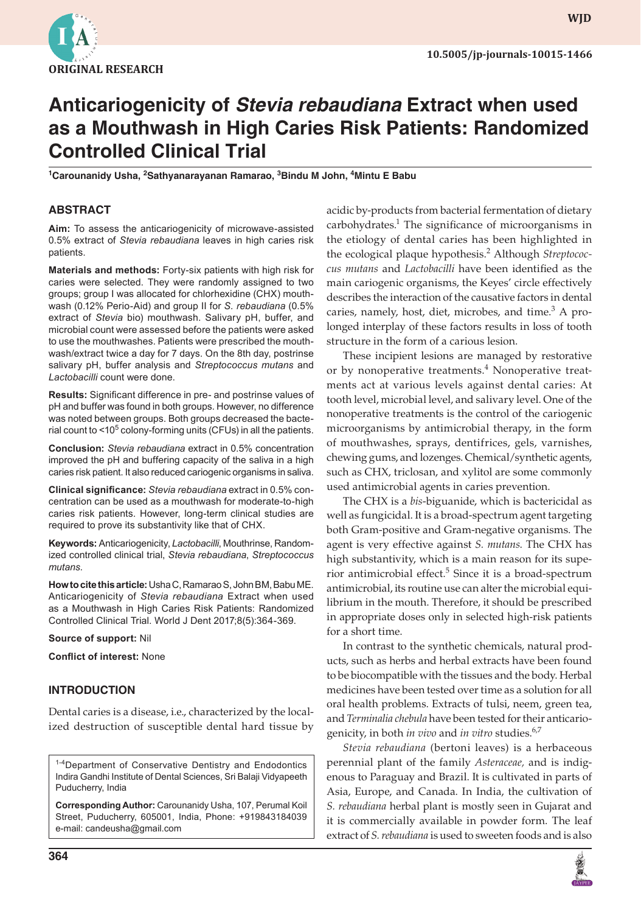

**wjd**

# **Anticariogenicity of** *Stevia rebaudiana* **Extract when used as a Mouthwash in High Caries Risk Patients: Randomized Controlled Clinical Trial**

**1 Carounanidy Usha, 2 Sathyanarayanan Ramarao, <sup>3</sup> Bindu M John, 4 Mintu E Babu**

# **ABSTRACT**

**Aim:** To assess the anticariogenicity of microwave-assisted 0.5% extract of *Stevia rebaudiana* leaves in high caries risk patients.

**Materials and methods:** Forty-six patients with high risk for caries were selected. They were randomly assigned to two groups; group I was allocated for chlorhexidine (CHX) mouthwash (0.12% Perio-Aid) and group II for *S. rebaudiana* (0.5% extract of *Stevia* bio) mouthwash. Salivary pH, buffer, and microbial count were assessed before the patients were asked to use the mouthwashes. Patients were prescribed the mouthwash/extract twice a day for 7 days. On the 8th day, postrinse salivary pH, buffer analysis and *Streptococcus mutans* and *Lactobacilli* count were done.

**Results:** Significant difference in pre- and postrinse values of pH and buffer was found in both groups. However, no difference was noted between groups. Both groups decreased the bacterial count to <10<sup>5</sup> colony-forming units (CFUs) in all the patients.

**Conclusion:** *Stevia rebaudiana* extract in 0.5% concentration improved the pH and buffering capacity of the saliva in a high caries risk patient. It also reduced cariogenic organisms in saliva.

**Clinical significance:** *Stevia rebaudiana* extract in 0.5% concentration can be used as a mouthwash for moderate-to-high caries risk patients. However, long-term clinical studies are required to prove its substantivity like that of CHX.

**Keywords:** Anticariogenicity, *Lactobacilli*, Mouthrinse, Randomized controlled clinical trial, *Stevia rebaudiana*, *Streptococcus mutans*.

**How to cite this article:** Usha C, Ramarao S, John BM, Babu ME. Anticariogenicity of *Stevia rebaudiana* Extract when used as a Mouthwash in High Caries Risk Patients: Randomized Controlled Clinical Trial. World J Dent 2017;8(5):364-369.

**Source of support:** Nil

**Conflict of interest:** None

# **INTRODUCTION**

Dental caries is a disease, i.e., characterized by the localized destruction of susceptible dental hard tissue by

<sup>1-4</sup>Department of Conservative Dentistry and Endodontics Indira Gandhi Institute of Dental Sciences, Sri Balaji Vidyapeeth Puducherry, India

**Corresponding Author:** Carounanidy Usha, 107, Perumal Koil Street, Puducherry, 605001, India, Phone: +919843184039 e-mail: candeusha@gmail.com

acidic by-products from bacterial fermentation of dietary carbohydrates.<sup>1</sup> The significance of microorganisms in the etiology of dental caries has been highlighted in the ecological plaque hypothesis.<sup>2</sup> Although *Streptococcus mutans* and *Lactobacilli* have been identified as the main cariogenic organisms, the Keyes' circle effectively describes the interaction of the causative factors in dental caries, namely, host, diet, microbes, and time.<sup>3</sup> A prolonged interplay of these factors results in loss of tooth structure in the form of a carious lesion.

These incipient lesions are managed by restorative or by nonoperative treatments.<sup>4</sup> Nonoperative treatments act at various levels against dental caries: At tooth level, microbial level, and salivary level. One of the nonoperative treatments is the control of the cariogenic microorganisms by antimicrobial therapy, in the form of mouthwashes, sprays, dentifrices, gels, varnishes, chewing gums, and lozenges. Chemical/synthetic agents, such as CHX, triclosan, and xylitol are some commonly used antimicrobial agents in caries prevention.

The CHX is a *bis*-biguanide, which is bactericidal as well as fungicidal. It is a broad-spectrum agent targeting both Gram-positive and Gram-negative organisms. The agent is very effective against *S. mutans*. The CHX has high substantivity, which is a main reason for its superior antimicrobial effect.<sup>5</sup> Since it is a broad-spectrum antimicrobial, its routine use can alter the microbial equilibrium in the mouth. Therefore, it should be prescribed in appropriate doses only in selected high-risk patients for a short time.

In contrast to the synthetic chemicals, natural products, such as herbs and herbal extracts have been found to be biocompatible with the tissues and the body. Herbal medicines have been tested over time as a solution for all oral health problems. Extracts of tulsi, neem, green tea, and *Terminalia chebula* have been tested for their anticariogenicity, in both *in vivo* and *in vitro* studies.6,7

*Stevia rebaudiana* (bertoni leaves) is a herbaceous perennial plant of the family *Asteraceae,* and is indigenous to Paraguay and Brazil. It is cultivated in parts of Asia, Europe, and Canada. In India, the cultivation of *S. rebaudiana* herbal plant is mostly seen in Gujarat and it is commercially available in powder form. The leaf extract of *S. rebaudiana* is used to sweeten foods and is also

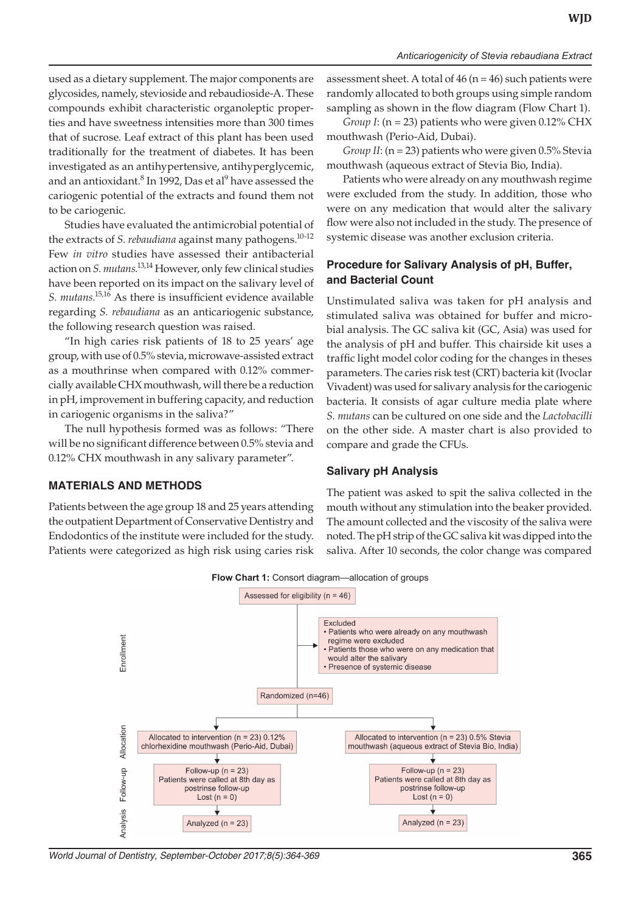*Anticariogenicity of Stevia rebaudiana Extract*

used as a dietary supplement. The major components are glycosides, namely, stevioside and rebaudioside-A. These compounds exhibit characteristic organoleptic properties and have sweetness intensities more than 300 times that of sucrose. Leaf extract of this plant has been used traditionally for the treatment of diabetes. It has been investigated as an antihypertensive, antihyperglycemic, and an antioxidant.<sup>8</sup> In 1992, Das et al<sup>9</sup> have assessed the cariogenic potential of the extracts and found them not to be cariogenic.

Studies have evaluated the antimicrobial potential of the extracts of *S. rebaudiana* against many pathogens.<sup>10-12</sup> Few *in vitro* studies have assessed their antibacterial action on *S. mutans*. 13,14 However, only few clinical studies have been reported on its impact on the salivary level of *S. mutans*. 15,16 As there is insufficient evidence available regarding *S. rebaudiana* as an anticariogenic substance, the following research question was raised.

"In high caries risk patients of 18 to 25 years' age group, with use of 0.5% stevia, microwave-assisted extract as a mouthrinse when compared with 0.12% commercially available CHX mouthwash, will there be a reduction in pH, improvement in buffering capacity, and reduction in cariogenic organisms in the saliva?"

The null hypothesis formed was as follows: "There will be no significant difference between 0.5% stevia and 0.12% CHX mouthwash in any salivary parameter".

### **MATERIALS AND METHODS**

Patients between the age group 18 and 25 years attending the outpatient Department of Conservative Dentistry and Endodontics of the institute were included for the study. Patients were categorized as high risk using caries risk assessment sheet. A total of  $46$  (n =  $46$ ) such patients were randomly allocated to both groups using simple random sampling as shown in the flow diagram (Flow Chart 1).

*Group I*: (n = 23) patients who were given 0.12% CHX mouthwash (Perio-Aid, Dubai).

*Group II*: (n = 23) patients who were given 0.5% Stevia mouthwash (aqueous extract of Stevia Bio, India).

Patients who were already on any mouthwash regime were excluded from the study. In addition, those who were on any medication that would alter the salivary flow were also not included in the study. The presence of systemic disease was another exclusion criteria.

## **Procedure for Salivary Analysis of pH, Buffer, and Bacterial Count**

Unstimulated saliva was taken for pH analysis and stimulated saliva was obtained for buffer and microbial analysis. The GC saliva kit (GC, Asia) was used for the analysis of pH and buffer. This chairside kit uses a traffic light model color coding for the changes in theses parameters. The caries risk test (CRT) bacteria kit (Ivoclar Vivadent) was used for salivary analysis for the cariogenic bacteria. It consists of agar culture media plate where *S. mutans* can be cultured on one side and the *Lactobacilli* on the other side. A master chart is also provided to compare and grade the CFUs.

#### **Salivary pH Analysis**

The patient was asked to spit the saliva collected in the mouth without any stimulation into the beaker provided. The amount collected and the viscosity of the saliva were noted. The pH strip of the GC saliva kit was dipped into the saliva. After 10 seconds, the color change was compared



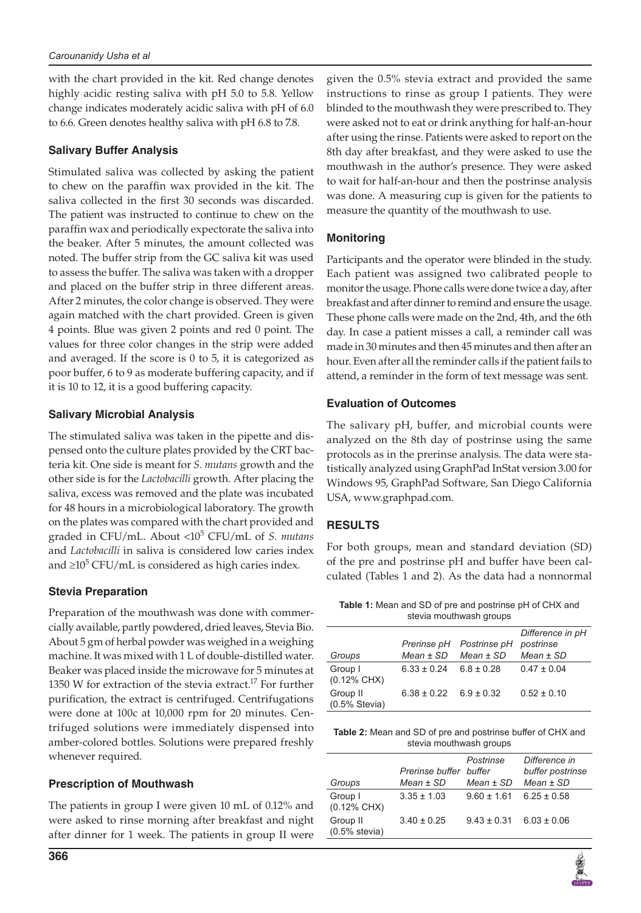with the chart provided in the kit. Red change denotes highly acidic resting saliva with pH 5.0 to 5.8. Yellow change indicates moderately acidic saliva with pH of 6.0 to 6.6. Green denotes healthy saliva with pH 6.8 to 7.8.

## **Salivary Buffer Analysis**

Stimulated saliva was collected by asking the patient to chew on the paraffin wax provided in the kit. The saliva collected in the first 30 seconds was discarded. The patient was instructed to continue to chew on the paraffin wax and periodically expectorate the saliva into the beaker. After 5 minutes, the amount collected was noted. The buffer strip from the GC saliva kit was used to assess the buffer. The saliva was taken with a dropper and placed on the buffer strip in three different areas. After 2 minutes, the color change is observed. They were again matched with the chart provided. Green is given 4 points. Blue was given 2 points and red 0 point. The values for three color changes in the strip were added and averaged. If the score is 0 to 5, it is categorized as poor buffer, 6 to 9 as moderate buffering capacity, and if it is 10 to 12, it is a good buffering capacity.

## **Salivary Microbial Analysis**

The stimulated saliva was taken in the pipette and dispensed onto the culture plates provided by the CRT bacteria kit. One side is meant for *S. mutans* growth and the other side is for the *Lactobacilli* growth. After placing the saliva, excess was removed and the plate was incubated for 48 hours in a microbiological laboratory. The growth on the plates was compared with the chart provided and graded in CFU/mL. About <10<sup>5</sup> CFU/mL of *S. mutans* and *Lactobacilli* in saliva is considered low caries index and ≥10<sup>5</sup> CFU/mL is considered as high caries index.

# **Stevia Preparation**

Preparation of the mouthwash was done with commercially available, partly powdered, dried leaves, Stevia Bio. About 5 gm of herbal powder was weighed in a weighing machine. It was mixed with 1 L of double-distilled water. Beaker was placed inside the microwave for 5 minutes at 1350 W for extraction of the stevia extract.<sup>17</sup> For further purification, the extract is centrifuged. Centrifugations were done at 100c at 10,000 rpm for 20 minutes. Centrifuged solutions were immediately dispensed into amber-colored bottles. Solutions were prepared freshly whenever required.

### **Prescription of Mouthwash**

The patients in group I were given 10 mL of 0.12% and were asked to rinse morning after breakfast and night after dinner for 1 week. The patients in group II were

given the 0.5% stevia extract and provided the same instructions to rinse as group I patients. They were blinded to the mouthwash they were prescribed to. They were asked not to eat or drink anything for half-an-hour after using the rinse. Patients were asked to report on the 8th day after breakfast, and they were asked to use the mouthwash in the author's presence. They were asked to wait for half-an-hour and then the postrinse analysis was done. A measuring cup is given for the patients to measure the quantity of the mouthwash to use.

## **Monitoring**

Participants and the operator were blinded in the study. Each patient was assigned two calibrated people to monitor the usage. Phone calls were done twice a day, after breakfast and after dinner to remind and ensure the usage. These phone calls were made on the 2nd, 4th, and the 6th day. In case a patient misses a call, a reminder call was made in 30 minutes and then 45 minutes and then after an hour. Even after all the reminder calls if the patient fails to attend, a reminder in the form of text message was sent.

## **Evaluation of Outcomes**

The salivary pH, buffer, and microbial counts were analyzed on the 8th day of postrinse using the same protocols as in the prerinse analysis. The data were statistically analyzed using GraphPad InStat version 3.00 for Windows 95, GraphPad Software, San Diego California USA, www.graphpad.com.

### **RESULTS**

For both groups, mean and standard deviation (SD) of the pre and postrinse pH and buffer have been calculated (Tables 1 and 2). As the data had a nonnormal

**Table 1:** Mean and SD of pre and postrinse pH of CHX and stevia mouthwash groups

|                        |                 |                | Difference in pH |
|------------------------|-----------------|----------------|------------------|
|                        | Prerinse pH     | Postrinse pH   | postrinse        |
| Groups                 | $Mean \pm SD$   | $Mean \pm SD$  | $Mean \pm SD$    |
| Group I                | $6.33 \pm 0.24$ | $6.8 \pm 0.28$ | $0.47 \pm 0.04$  |
| $(0.12\% \text{ CHX})$ |                 |                |                  |
| Group II               | $6.38 \pm 0.22$ | $6.9 \pm 0.32$ | $0.52 \pm 0.10$  |
| $(0.5\%$ Stevia)       |                 |                |                  |

**Table 2:** Mean and SD of pre and postrinse buffer of CHX and stevia mouthwash groups

| Groups                            | Prerinse buffer<br>$Mean \pm SD$ | Postrinse<br>buffer<br>$Mean \pm SD$ | Difference in<br>buffer postrinse<br>$Mean \pm SD$ |
|-----------------------------------|----------------------------------|--------------------------------------|----------------------------------------------------|
| Group I<br>$(0.12\% \text{ CHX})$ | $3.35 \pm 1.03$                  | $9.60 \pm 1.61$                      | $6.25 \pm 0.58$                                    |
| Group II<br>$(0.5%$ stevia)       | $3.40 \pm 0.25$                  | $9.43 \pm 0.31$                      | $6.03 \pm 0.06$                                    |
|                                   |                                  |                                      |                                                    |

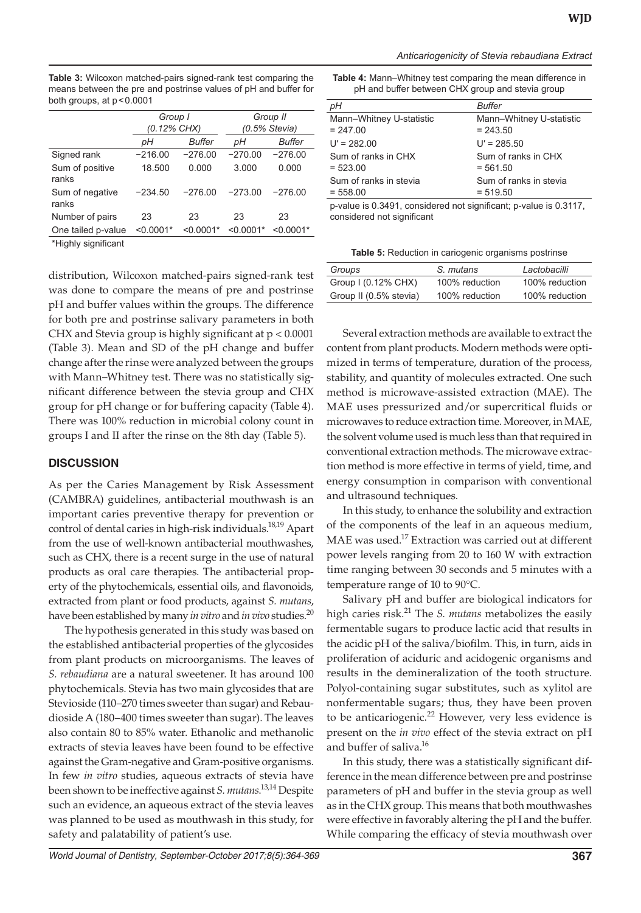**Table 3:** Wilcoxon matched-pairs signed-rank test comparing the means between the pre and postrinse values of pH and buffer for both groups, at  $p < 0.0001$ 

|                          | Group I<br>(0.12% CHX) |             | Group II<br>$(0.5\%$ Stevia) |               |
|--------------------------|------------------------|-------------|------------------------------|---------------|
|                          | рH                     | Buffer      | pН                           | <b>Buffer</b> |
| Signed rank              | $-216.00$              | $-276.00$   | $-270.00$                    | $-276.00$     |
| Sum of positive<br>ranks | 18.500                 | 0.000       | 3.000                        | 0.000         |
| Sum of negative<br>ranks | $-234.50$              | $-276.00$   | $-273.00$                    | $-276.00$     |
| Number of pairs          | 23                     | 23          | 23                           | 23            |
| One tailed p-value       | $< 0.0001*$            | $< 0.0001*$ | $< 0.0001*$                  | $< 0.0001*$   |
| 東川 じょししょう きんこうだい エンチ     |                        |             |                              |               |

\*Highly significant

distribution, Wilcoxon matched-pairs signed-rank test was done to compare the means of pre and postrinse pH and buffer values within the groups. The difference for both pre and postrinse salivary parameters in both CHX and Stevia group is highly significant at p < 0.0001 (Table 3). Mean and SD of the pH change and buffer change after the rinse were analyzed between the groups with Mann–Whitney test. There was no statistically significant difference between the stevia group and CHX group for pH change or for buffering capacity (Table 4). There was 100% reduction in microbial colony count in groups I and II after the rinse on the 8th day (Table 5).

### **DISCUSSION**

As per the Caries Management by Risk Assessment (CAMBRA) guidelines, antibacterial mouthwash is an important caries preventive therapy for prevention or control of dental caries in high-risk individuals.<sup>18,19</sup> Apart from the use of well-known antibacterial mouthwashes, such as CHX, there is a recent surge in the use of natural products as oral care therapies. The antibacterial property of the phytochemicals, essential oils, and flavonoids, extracted from plant or food products, against *S. mutans*, have been established by many *in vitro* and *in vivo* studies.20

The hypothesis generated in this study was based on the established antibacterial properties of the glycosides from plant products on microorganisms. The leaves of *S. rebaudiana* are a natural sweetener. It has around 100 phytochemicals. Stevia has two main glycosides that are Stevioside (110–270 times sweeter than sugar) and Rebaudioside A (180–400 times sweeter than sugar). The leaves also contain 80 to 85% water. Ethanolic and methanolic extracts of stevia leaves have been found to be effective against the Gram-negative and Gram-positive organisms. In few *in vitro* studies, aqueous extracts of stevia have been shown to be ineffective against *S. mutans*. 13,14 Despite such an evidence, an aqueous extract of the stevia leaves was planned to be used as mouthwash in this study, for safety and palatability of patient's use.

**Table 4:** Mann–Whitney test comparing the mean difference in pH and buffer between CHX group and stevia group

| рH                                                                | <b>Buffer</b>                          |  |  |
|-------------------------------------------------------------------|----------------------------------------|--|--|
| Mann-Whitney U-statistic<br>$= 247.00$                            | Mann-Whitney U-statistic<br>$= 243.50$ |  |  |
| $U' = 282.00$                                                     | $U' = 285.50$                          |  |  |
| Sum of ranks in CHX<br>$= 523.00$                                 | Sum of ranks in CHX<br>$= 561.50$      |  |  |
| Sum of ranks in stevia<br>$= 558.00$                              | Sum of ranks in stevia<br>$= 519.50$   |  |  |
| p-value is 0.3491, considered not significant; p-value is 0.3117, |                                        |  |  |

considered not significant

**Table 5:** Reduction in cariogenic organisms postrinse

| Groups                 | S. mutans      | Lactobacilli   |
|------------------------|----------------|----------------|
| Group I (0.12% CHX)    | 100% reduction | 100% reduction |
| Group II (0.5% stevia) | 100% reduction | 100% reduction |

Several extraction methods are available to extract the content from plant products. Modern methods were optimized in terms of temperature, duration of the process, stability, and quantity of molecules extracted. One such method is microwave-assisted extraction (MAE). The MAE uses pressurized and/or supercritical fluids or microwaves to reduce extraction time. Moreover, in MAE, the solvent volume used is much less than that required in conventional extraction methods. The microwave extraction method is more effective in terms of yield, time, and energy consumption in comparison with conventional and ultrasound techniques.

In this study, to enhance the solubility and extraction of the components of the leaf in an aqueous medium, MAE was used.<sup>17</sup> Extraction was carried out at different power levels ranging from 20 to 160 W with extraction time ranging between 30 seconds and 5 minutes with a temperature range of 10 to 90°C.

Salivary pH and buffer are biological indicators for high caries risk.21 The *S. mutans* metabolizes the easily fermentable sugars to produce lactic acid that results in the acidic pH of the saliva/biofilm. This, in turn, aids in proliferation of aciduric and acidogenic organisms and results in the demineralization of the tooth structure. Polyol-containing sugar substitutes, such as xylitol are nonfermentable sugars; thus, they have been proven to be anticariogenic.<sup>22</sup> However, very less evidence is present on the *in vivo* effect of the stevia extract on pH and buffer of saliva.<sup>16</sup>

In this study, there was a statistically significant difference in the mean difference between pre and postrinse parameters of pH and buffer in the stevia group as well as in the CHX group. This means that both mouthwashes were effective in favorably altering the pH and the buffer. While comparing the efficacy of stevia mouthwash over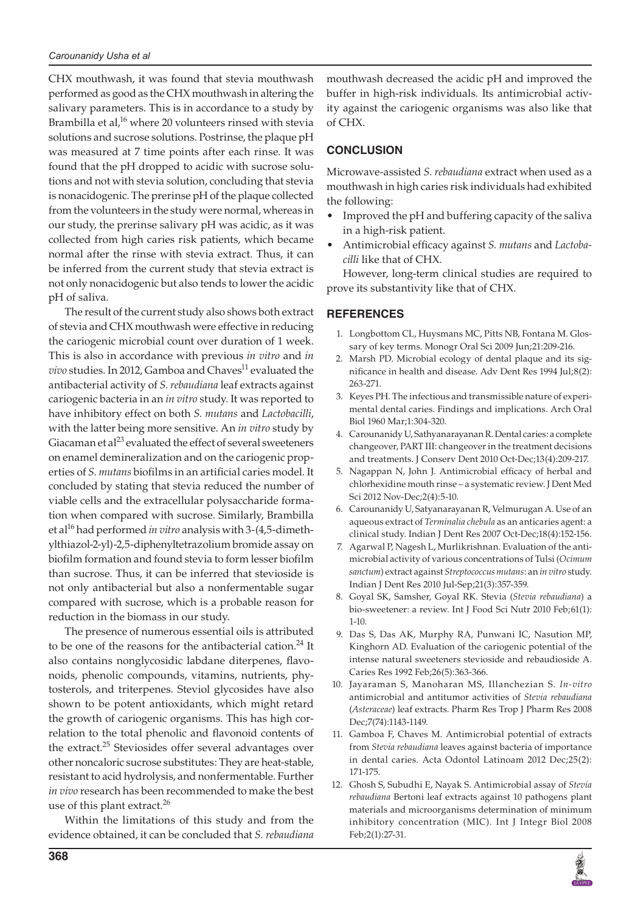CHX mouthwash, it was found that stevia mouthwash performed as good as the CHX mouthwash in altering the salivary parameters. This is in accordance to a study by Brambilla et al,<sup>16</sup> where 20 volunteers rinsed with stevia solutions and sucrose solutions. Postrinse, the plaque pH was measured at 7 time points after each rinse. It was found that the pH dropped to acidic with sucrose solutions and not with stevia solution, concluding that stevia is nonacidogenic. The prerinse pH of the plaque collected from the volunteers in the study were normal, whereas in our study, the prerinse salivary pH was acidic, as it was collected from high caries risk patients, which became normal after the rinse with stevia extract. Thus, it can be inferred from the current study that stevia extract is not only nonacidogenic but also tends to lower the acidic pH of saliva.

The result of the current study also shows both extract of stevia and CHX mouthwash were effective in reducing the cariogenic microbial count over duration of 1 week. This is also in accordance with previous *in vitro* and *in vivo* studies. In 2012, Gamboa and Chaves<sup>11</sup> evaluated the antibacterial activity of *S. rebaudiana* leaf extracts against cariogenic bacteria in an *in vitro* study. It was reported to have inhibitory effect on both *S. mutans* and *Lactobacilli*, with the latter being more sensitive. An *in vitro* study by Giacaman et al $^{23}$  evaluated the effect of several sweeteners on enamel demineralization and on the cariogenic properties of *S. mutans* biofilms in an artificial caries model. It concluded by stating that stevia reduced the number of viable cells and the extracellular polysaccharide formation when compared with sucrose. Similarly, Brambilla et al16 had performed *in vitro* analysis with 3-(4,5-dimethylthiazol-2-yl)-2,5-diphenyltetrazolium bromide assay on biofilm formation and found stevia to form lesser biofilm than sucrose. Thus, it can be inferred that stevioside is not only antibacterial but also a nonfermentable sugar compared with sucrose, which is a probable reason for reduction in the biomass in our study.

The presence of numerous essential oils is attributed to be one of the reasons for the antibacterial cation. $^{24}$  It also contains nonglycosidic labdane diterpenes, flavonoids, phenolic compounds, vitamins, nutrients, phytosterols, and triterpenes. Steviol glycosides have also shown to be potent antioxidants, which might retard the growth of cariogenic organisms. This has high correlation to the total phenolic and flavonoid contents of the extract.<sup>25</sup> Steviosides offer several advantages over other noncaloric sucrose substitutes: They are heat-stable, resistant to acid hydrolysis, and nonfermentable. Further *in vivo* research has been recommended to make the best use of this plant extract.<sup>26</sup>

Within the limitations of this study and from the evidence obtained, it can be concluded that *S. rebaudiana* mouthwash decreased the acidic pH and improved the buffer in high-risk individuals. Its antimicrobial activity against the cariogenic organisms was also like that of CHX.

## **CONCLUSION**

Microwave-assisted *S. rebaudiana* extract when used as a mouthwash in high caries risk individuals had exhibited the following:

- Improved the pH and buffering capacity of the saliva in a high-risk patient.
- Antimicrobial efficacy against *S. mutans* and *Lactobacilli* like that of CHX.

However, long-term clinical studies are required to prove its substantivity like that of CHX.

### **REFERENCES**

- 1. Longbottom CL, Huysmans MC, Pitts NB, Fontana M. Glossary of key terms. Monogr Oral Sci 2009 Jun;21:209-216.
- 2. Marsh PD. Microbial ecology of dental plaque and its significance in health and disease. Adv Dent Res 1994 Jul;8(2): 263-271.
- 3. Keyes PH. The infectious and transmissible nature of experimental dental caries. Findings and implications. Arch Oral Biol 1960 Mar;1:304-320.
- 4. Carounanidy U, Sathyanarayanan R. Dental caries: a complete changeover, PART III: changeover in the treatment decisions and treatments. J Conserv Dent 2010 Oct-Dec;13(4):209-217.
- 5. Nagappan N, John J. Antimicrobial efficacy of herbal and chlorhexidine mouth rinse – a systematic review. J Dent Med Sci 2012 Nov-Dec;2(4):5-10.
- 6. Carounanidy U, Satyanarayanan R, Velmurugan A. Use of an aqueous extract of *Terminalia chebula* as an anticaries agent: a clinical study. Indian J Dent Res 2007 Oct-Dec;18(4):152-156.
- 7. Agarwal P, Nagesh L, Murlikrishnan. Evaluation of the antimicrobial activity of various concentrations of Tulsi (*Ocimum sanctum*) extract against *Streptococcus mutans*: an *in vitro* study. Indian J Dent Res 2010 Jul-Sep;21(3):357-359.
- 8. Goyal SK, Samsher, Goyal RK. Stevia (*Stevia rebaudiana*) a bio-sweetener: a review. Int J Food Sci Nutr 2010 Feb;61(1): 1-10.
- 9. Das S, Das AK, Murphy RA, Punwani IC, Nasution MP, Kinghorn AD. Evaluation of the cariogenic potential of the intense natural sweeteners stevioside and rebaudioside A. Caries Res 1992 Feb;26(5):363-366.
- 10. Jayaraman S, Manoharan MS, Illanchezian S. *In-vitro* antimicrobial and antitumor activities of *Stevia rebaudiana* (*Asteraceae*) leaf extracts. Pharm Res Trop J Pharm Res 2008 Dec;7(74):1143-1149.
- 11. Gamboa F, Chaves M. Antimicrobial potential of extracts from *Stevia rebaudiana* leaves against bacteria of importance in dental caries. Acta Odontol Latinoam 2012 Dec;25(2): 171-175.
- 12. Ghosh S, Subudhi E, Nayak S. Antimicrobial assay of *Stevia rebaudiana* Bertoni leaf extracts against 10 pathogens plant materials and microorganisms determination of minimum inhibitory concentration (MIC). Int J Integr Biol 2008 Feb;2(1):27-31.